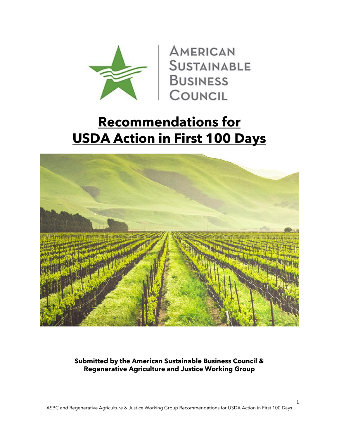

**AMERICAN SUSTAINABLE BUSINESS** COUNCIL

# **Recommendations for USDA Action in First 100 Days**



**Submitted by the American Sustainable Business Council & Regenerative Agriculture and Justice Working Group**

1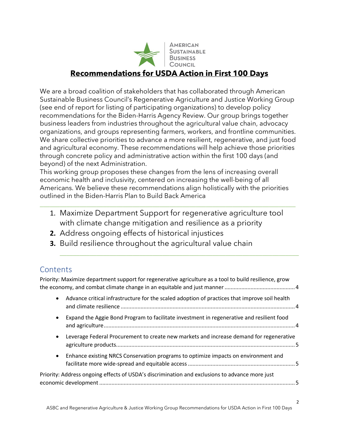

**SUSTAINABLE BUSINESS** 

### **Recommendations for USDA Action in First 100 Days**

We are a broad coalition of stakeholders that has collaborated through American Sustainable Business Council's Regenerative Agriculture and Justice Working Group (see end of report for listing of participating organizations) to develop policy recommendations for the Biden-Harris Agency Review. Our group brings together business leaders from industries throughout the agricultural value chain, advocacy organizations, and groups representing farmers, workers, and frontline communities. We share collective priorities to advance a more resilient, regenerative, and just food and agricultural economy. These recommendations will help achieve those priorities through concrete policy and administrative action within the first 100 days (and beyond) of the next Administration.

This working group proposes these changes from the lens of increasing overall economic health and inclusivity, centered on increasing the well-being of all Americans. We believe these recommendations align holistically with the priorities outlined in the Biden-Harris Plan to Build Back America

1. Maximize Department Support for regenerative agriculture tool with climate change mitigation and resilience as a priority

\_\_\_\_\_\_\_\_\_\_\_\_\_\_\_\_\_\_\_\_\_\_\_\_\_\_\_\_\_\_\_\_\_\_\_\_\_\_\_\_\_\_\_\_\_\_\_\_\_\_\_\_\_\_\_\_\_\_\_\_\_\_\_\_\_\_\_\_\_\_\_\_

\_\_\_\_\_\_\_\_\_\_\_\_\_\_\_\_\_\_\_\_\_\_\_\_\_\_\_\_\_\_\_\_\_\_\_\_\_\_\_\_\_\_\_\_\_\_\_\_\_\_\_\_\_\_\_\_\_\_\_\_\_\_\_\_\_\_\_\_\_\_\_\_\_\_\_\_\_

- **2.** Address ongoing effects of historical injustices
- **3.** Build resilience throughout the agricultural value chain

## **Contents**

[Priority: Maximize department support for regenerative agriculture as a tool to build resilience, grow](#page-3-0)  [the economy, and combat climate change in an equitable and just manner..............................................4](#page-3-0) • [Advance critical infrastructure for the scaled adoption of practices that improve soil health](#page-3-1)  and climate resilience [..................................................................................................................4](#page-3-1) • [Expand the Aggie Bond Program to facilitate investment in regenerative and resilient food](#page-3-2)  [and agriculture.............................................................................................................................4](#page-3-2) • [Leverage Federal Procurement to create new markets and increase demand for regenerative](#page-4-0)  [agriculture products.....................................................................................................................5](#page-4-0) • [Enhance existing NRCS Conservation programs to optimize impacts on environment and](#page-4-1)  [facilitate more wide-spread and equitable access......................................................................5](#page-4-1) [Priority: Address ongoing effects of USDA's discrimination and exclusions to advance more just](#page-4-2)  [economic development................................................................................................................................5](#page-4-2)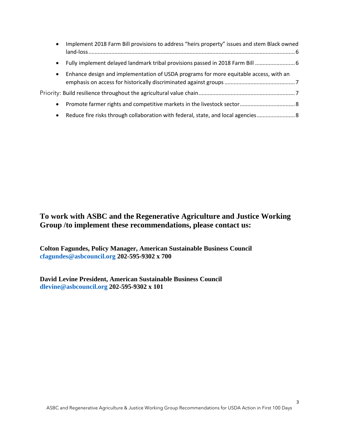| $\bullet$ | Implement 2018 Farm Bill provisions to address "heirs property" issues and stem Black owned |  |
|-----------|---------------------------------------------------------------------------------------------|--|
| $\bullet$ | Fully implement delayed landmark tribal provisions passed in 2018 Farm Bill  6              |  |
| $\bullet$ | Enhance design and implementation of USDA programs for more equitable access, with an       |  |
|           |                                                                                             |  |
| $\bullet$ |                                                                                             |  |
| $\bullet$ | Reduce fire risks through collaboration with federal, state, and local agencies 8           |  |

### **To work with ASBC and the Regenerative Agriculture and Justice Working Group /to implement these recommendations, please contact us:**

**Colton Fagundes, Policy Manager, American Sustainable Business Council [cfagundes@asbcouncil.org](mailto:Cfagundes@asbcouncil.org) 202-595-9302 x 700**

**David Levine President, American Sustainable Business Council [dlevine@asbcouncil.org](mailto:dlevine@asbcouncil.org) 202-595-9302 x 101**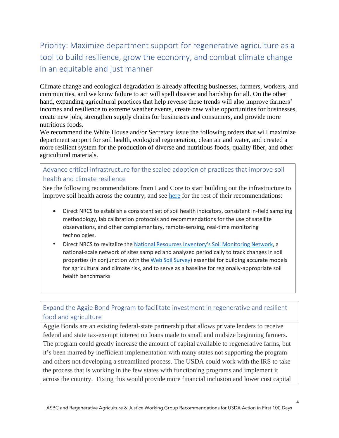# <span id="page-3-0"></span>Priority: Maximize department support for regenerative agriculture as a tool to build resilience, grow the economy, and combat climate change in an equitable and just manner

Climate change and ecological degradation is already affecting businesses, farmers, workers, and communities, and we know failure to act will spell disaster and hardship for all. On the other hand, expanding agricultural practices that help reverse these trends will also improve farmers' incomes and resilience to extreme weather events, create new value opportunities for businesses, create new jobs, strengthen supply chains for businesses and consumers, and provide more nutritious foods.

We recommend the White House and/or Secretary issue the following orders that will maximize department support for soil health, ecological regeneration, clean air and water, and created a more resilient system for the production of diverse and nutritious foods, quality fiber, and other agricultural materials.

<span id="page-3-1"></span>Advance critical infrastructure for the scaled adoption of practices that improve soil health and climate resilience

See the following recommendations from Land Core to start building out the infrastructure to improve soil health across the country, and see [here](https://landcore.org/news-post/biden-policy-recommendations#agency) for the rest of their recommendations:

- Direct NRCS to establish a consistent set of soil health indicators, consistent in-field sampling methodology, lab calibration protocols and recommendations for the use of satellite observations, and other complementary, remote-sensing, real-time monitoring technologies.
- Direct NRCS to revitalize the [National Resources Inventory's Soil Monitoring Network,](https://www.nrcs.usda.gov/wps/PA_NRCSConsumption/download?cid=nrcseprd1459632&ext=pdf) a national-scale network of sites sampled and analyzed periodically to track changes in soil properties (in conjunction with the [Web Soil Survey\)](https://www.nrcs.usda.gov/wps/portal/nrcs/main/soils/survey/) essential for building accurate models for agricultural and climate risk, and to serve as a baseline for regionally-appropriate soil health benchmarks

#### <span id="page-3-2"></span>Expand the Aggie Bond Program to facilitate investment in regenerative and resilient food and agriculture

Aggie Bonds are an existing federal-state partnership that allows private lenders to receive federal and state tax-exempt interest on loans made to small and midsize beginning farmers. The program could greatly increase the amount of capital available to regenerative farms, but it's been marred by inefficient implementation with many states not supporting the program and others not developing a streamlined process. The USDA could work with the IRS to take the process that is working in the few states with functioning programs and implement it across the country. Fixing this would provide more financial inclusion and lower cost capital

4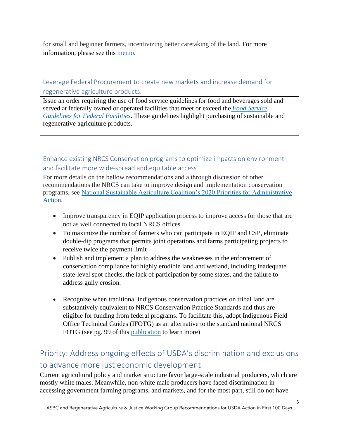for small and beginner farmers, incentivizing better caretaking of the land. For more information, please see this [memo.](https://drive.google.com/file/d/1nrfOVk8NiHy-XiZjjjqk1CayWpcQgWse/view?usp=sharing)

<span id="page-4-0"></span>Leverage Federal Procurement to create new markets and increase demand for regenerative agriculture products.

Issue an order requiring the use of food service guidelines for food and beverages sold and served at federally owned or operated facilities that meet or exceed the *Food [Service](https://www.cdc.gov/obesity/downloads/guidelines_for_federal_concessions_and_vending_operations.pdf) [Guidelines](https://www.cdc.gov/obesity/downloads/guidelines_for_federal_concessions_and_vending_operations.pdf) for Federal Facilities*. These guidelines highlight purchasing of sustainable and regenerative agriculture products.

<span id="page-4-1"></span>Enhance existing NRCS Conservation programs to optimize impacts on environment and facilitate more wide-spread and equitable access

For more details on the bellow recommendations and a through discussion of other recommendations the NRCS can take to improve design and implementation conservation programs, see [National Sustainable Agriculture Coalition's 2020 Priorities for Administrative](https://sustainableagriculture.net/wp-content/uploads/2020/12/NSAC-Final-Transition-Team-Document-2020.pdf)  [Action.](https://sustainableagriculture.net/wp-content/uploads/2020/12/NSAC-Final-Transition-Team-Document-2020.pdf)

- Improve transparency in EQIP application process to improve access for those that are not as well connected to local NRCS offices
- To maximize the number of farmers who can participate in EQIP and CSP, eliminate double-dip programs that permits joint operations and farms participating projects to receive twice the payment limit
- Publish and implement a plan to address the weaknesses in the enforcement of conservation compliance for highly erodible land and wetland, including inadequate state-level spot checks, the lack of participation by some states, and the failure to address gully erosion.
- Recognize when traditional indigenous conservation practices on tribal land are substantively equivalent to NRCS Conservation Practice Standards and thus are eligible for funding from federal programs. To facilitate this, adopt Indigenous Field Office Technical Guides (IFOTG) as an alternative to the standard national NRCS FOTG (see pg. 99 of this [publication](https://repository.arizona.edu/bitstream/handle/10150/633115/azu_etd_17001_sip1_m.pdf?sequence=1&isAllowed=y) to learn more)

## <span id="page-4-2"></span>Priority: Address ongoing effects of USDA's discrimination and exclusions to advance more just economic development

Current agricultural policy and market structure favor large-scale industrial producers, which are mostly white males. Meanwhile, non-white male producers have faced discrimination in accessing government farming programs, and markets, and for the most part, still do not have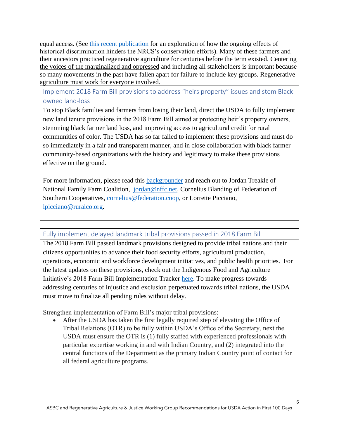equal access. (See [this recent publication](https://www.cambridge.org/core/services/aop-cambridge-core/content/view/E4DE04D55E180D899BD36AD563945846/S1742170519000322a.pdf/ecological_costs_of_discrimination_racism_red_cedar_and_resilience_in_farm_bill_conservation_policy_in_oklahoma.pdf) for an exploration of how the ongoing effects of historical discrimination hinders the NRCS's conservation efforts). Many of these farmers and their ancestors practiced regenerative agriculture for centuries before the term existed. Centering the voices of the marginalized and oppressed and including all stakeholders is important because so many movements in the past have fallen apart for failure to include key groups. Regenerative agriculture must work for everyone involved.

<span id="page-5-0"></span>Implement 2018 Farm Bill provisions to address "heirs property" issues and stem Black owned land-loss

To stop Black families and farmers from losing their land, direct the USDA to fully implement new land tenure provisions in the 2018 Farm Bill aimed at protecting heir's property owners, stemming black farmer land loss, and improving access to agricultural credit for rural communities of color. The USDA has so far failed to implement these provisions and must do so immediately in a fair and transparent manner, and in close collaboration with black farmer community-based organizations with the history and legitimacy to make these provisions effective on the ground.

For more information, please read this [backgrounder](https://www.ruralco.org/2018-farm-bill-fair-access) and reach out to Jordan Treakle of National Family Farm Coalition, [jordan@nffc.net,](mailto:jordan@nffc.net) Cornelius Blanding of Federation of Southern Cooperatives, [cornelius@federation.coop,](mailto:cornelius@federation.coop) or Lorrette Picciano, [lpicciano@ruralco.org.](mailto:lpicciano@ruralco.org)

#### <span id="page-5-1"></span>Fully implement delayed landmark tribal provisions passed in 2018 Farm Bill

The 2018 Farm Bill passed landmark provisions designed to provide tribal nations and their citizens opportunities to advance their food security efforts, agricultural production, operations, economic and workforce development initiatives, and public health priorities. For the latest updates on these provisions, check out the Indigenous Food and Agriculture Initiative's 2018 Farm Bill Implementation Tracker [here.](https://drive.google.com/drive/u/0/folders/0B1q2HPkniLCHfjQ4clZjcE1fWFRaenVtUVVfWXJvNU5rODlVWnM5MnNWY2JZZmV6RmdESmM) To make progress towards addressing centuries of injustice and exclusion perpetuated towards tribal nations, the USDA must move to finalize all pending rules without delay.

Strengthen implementation of Farm Bill's major tribal provisions:

After the USDA has taken the first legally required step of elevating the Office of Tribal Relations (OTR) to be fully within USDA's Office of the Secretary, next the USDA must ensure the OTR is (1) fully staffed with experienced professionals with particular expertise working in and with Indian Country, and (2) integrated into the central functions of the Department as the primary Indian Country point of contact for all federal agriculture programs.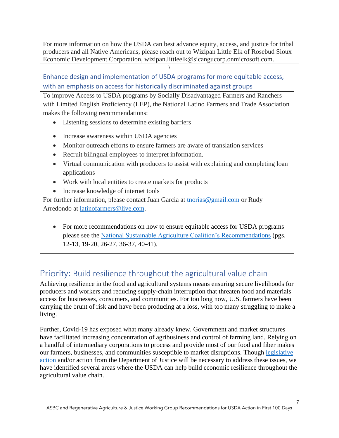For more information on how the USDA can best advance equity, access, and justice for tribal producers and all Native Americans, please reach out to Wizipan Little Elk of Rosebud Sioux Economic Development Corporation, wizipan.littleelk@sicangucorp.onmicrosoft.com.

\

<span id="page-6-0"></span>Enhance design and implementation of USDA programs for more equitable access, with an emphasis on access for historically discriminated against groups

To improve Access to USDA programs by Socially Disadvantaged Farmers and Ranchers with Limited English Proficiency (LEP), the National Latino Farmers and Trade Association makes the following recommendations:

- Listening sessions to determine existing barriers
- Increase awareness within USDA agencies
- Monitor outreach efforts to ensure farmers are aware of translation services
- Recruit bilingual employees to interpret information.
- Virtual communication with producers to assist with explaining and completing loan applications
- Work with local entities to create markets for products
- Increase knowledge of internet tools

For further information, please contact Juan Garcia at thorias@gmail.com or Rudy Arredondo at [latinofarmers@live.com.](mailto:latinofarmers@live.com)

• For more recommendations on how to ensure equitable access for USDA programs please see the [National Sustainable Agriculture Coalition's Recommendations](https://sustainableagriculture.net/wp-content/uploads/2020/12/NSAC-Final-Transition-Team-Document-2020.pdf) (pgs. 12-13, 19-20, 26-27, 36-37, 40-41).

### <span id="page-6-1"></span>Priority: Build resilience throughout the agricultural value chain

Achieving resilience in the food and agricultural systems means ensuring secure livelihoods for producers and workers and reducing supply-chain interruption that threaten food and materials access for businesses, consumers, and communities. For too long now, U.S. farmers have been carrying the brunt of risk and have been producing at a loss, with too many struggling to make a living.

Further, Covid-19 has exposed what many already knew. Government and market structures have facilitated increasing concentration of agribusiness and control of farming land. Relying on a handful of intermediary corporations to process and provide most of our food and fiber makes our farmers, businesses, and communities susceptible to market disruptions. Though [legislative](https://nffc.net/2018dairycrisis/)  [action](https://nffc.net/2018dairycrisis/) and/or action from the Department of Justice will be necessary to address these issues, we have identified several areas where the USDA can help build economic resilience throughout the agricultural value chain.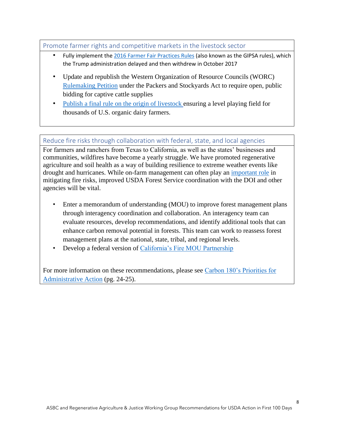#### <span id="page-7-0"></span>Promote farmer rights and competitive markets in the livestock sector

- Fully implement th[e 2016 Farmer Fair](https://nfu.org/action-alert-farmer-fair-practices-rules-in-jeopardy-at-usda/#:~:text=The%20Farmer%20Fair%20Practices%20Rules,those%20practices%20or%20preferences%20are.) Practices Rules (also known as the GIPSA rules), which the Trump administration delayed and then withdrew in October 2017
- Update and republish the Western Organization of Resource Councils (WORC) [Rulemaking Petition](https://www.gipsa.usda.gov/psp/publication/worc_petition/petition.pdf) under the Packers and Stockyards Act to require open, public bidding for captive cattle supplies
- [Publish a final rule on the origin of livestock](https://ota.com/advocacy/critical-issues/origin-organic-dairy-livestock) ensuring a level playing field for thousands of U.S. organic dairy farmers.

<span id="page-7-1"></span>Reduce fire risks through collaboration with federal, state, and local agencies

For farmers and ranchers from Texas to California, as well as the states' businesses and communities, wildfires have become a yearly struggle. We have promoted regenerative agriculture and soil health as a way of building resilience to extreme weather events like drought and hurricanes. While on-farm management can often play an [important role](https://www.cambridge.org/core/services/aop-cambridge-core/content/view/E4DE04D55E180D899BD36AD563945846/S1742170519000322a.pdf/ecological_costs_of_discrimination_racism_red_cedar_and_resilience_in_farm_bill_conservation_policy_in_oklahoma.pdf) in mitigating fire risks, improved USDA Forest Service coordination with the DOI and other agencies will be vital.

- Enter a memorandum of understanding (MOU) to improve forest management plans through interagency coordination and collaboration. An interagency team can evaluate resources, develop recommendations, and identify additional tools that can enhance carbon removal potential in forests. This team can work to reassess forest management plans at the national, state, tribal, and regional levels.
- Develop a federal version of [California's Fire MOU Partnership](https://www.sierraforestlegacy.org/Resources/Community/PrescribedFire/FireMOUSigned.pdf)

For more information on these recommendations, please see [Carbon 180's Priorities for](https://www.sierraforestlegacy.org/Resources/Community/PrescribedFire/FireMOUSigned.pdf)  [Administrative Action](https://www.sierraforestlegacy.org/Resources/Community/PrescribedFire/FireMOUSigned.pdf) (pg. 24-25).